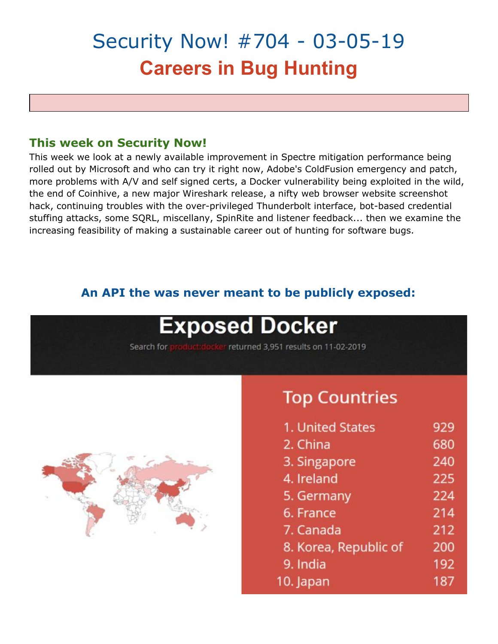# Security Now! #704 - 03-05-19 **Careers in Bug Hunting**

## **This week on Security Now!**

This week we look at a newly available improvement in Spectre mitigation performance being rolled out by Microsoft and who can try it right now, Adobe's ColdFusion emergency and patch, more problems with A/V and self signed certs, a Docker vulnerability being exploited in the wild, the end of Coinhive, a new major Wireshark release, a nifty web browser website screenshot hack, continuing troubles with the over-privileged Thunderbolt interface, bot-based credential stuffing attacks, some SQRL, miscellany, SpinRite and listener feedback... then we examine the increasing feasibility of making a sustainable career out of hunting for software bugs.

## **An API the was never meant to be publicly exposed:**

# **Exposed Docker**

Search for **p** aduct:docker returned 3,951 results on 11-02-2019



## **Top Countries**

| 1. United States      | 929 |
|-----------------------|-----|
| 2. China              | 680 |
| 3. Singapore          | 240 |
| 4. Ireland            | 225 |
| 5. Germany            | 224 |
| 6. France             | 214 |
| 7. Canada             | 212 |
| 8. Korea, Republic of | 200 |
| 9. India              | 192 |
| 10. Japan             | 187 |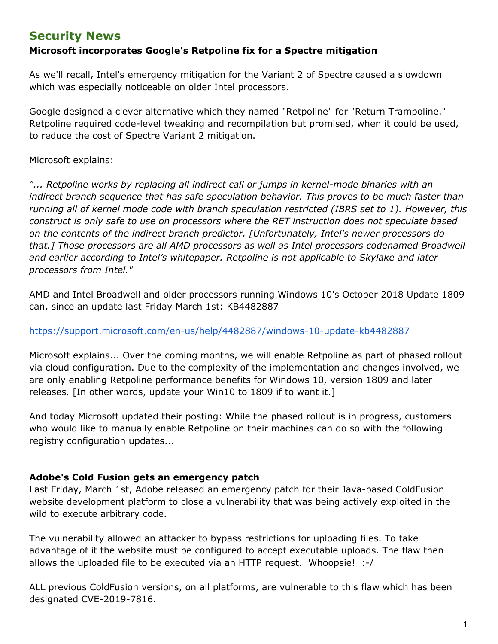## **Security News**

#### **Microsoft incorporates Google's Retpoline fix for a Spectre mitigation**

As we'll recall, Intel's emergency mitigation for the Variant 2 of Spectre caused a slowdown which was especially noticeable on older Intel processors.

Google designed a clever alternative which they named "Retpoline" for "Return Trampoline." Retpoline required code-level tweaking and recompilation but promised, when it could be used, to reduce the cost of Spectre Variant 2 mitigation.

#### Microsoft explains:

*"... Retpoline works by replacing all indirect call or jumps in kernel-mode binaries with an indirect branch sequence that has safe speculation behavior. This proves to be much faster than running all of kernel mode code with branch speculation restricted (IBRS set to 1). However, this construct is only safe to use on processors where the RET instruction does not speculate based on the contents of the indirect branch predictor. [Unfortunately, Intel's newer processors do that.] Those processors are all AMD processors as well as Intel processors codenamed Broadwell and earlier according to Intel's whitepaper. Retpoline is not applicable to Skylake and later processors from Intel."*

AMD and Intel Broadwell and older processors running Windows 10's October 2018 Update 1809 can, since an update last Friday March 1st: KB4482887

<https://support.microsoft.com/en-us/help/4482887/windows-10-update-kb4482887>

Microsoft explains... Over the coming months, we will enable Retpoline as part of phased rollout via cloud configuration. Due to the complexity of the implementation and changes involved, we are only enabling Retpoline performance benefits for Windows 10, version 1809 and later releases. [In other words, update your Win10 to 1809 if to want it.]

And today Microsoft updated their posting: While the phased rollout is in progress, customers who would like to manually enable Retpoline on their machines can do so with the following registry configuration updates...

#### **Adobe's Cold Fusion gets an emergency patch**

Last Friday, March 1st, Adobe released an emergency patch for their Java-based ColdFusion website development platform to close a vulnerability that was being actively exploited in the wild to execute arbitrary code.

The vulnerability allowed an attacker to bypass restrictions for uploading files. To take advantage of it the website must be configured to accept executable uploads. The flaw then allows the uploaded file to be executed via an HTTP request. Whoopsie! :-/

ALL previous ColdFusion versions, on all platforms, are vulnerable to this flaw which has been designated CVE-2019-7816.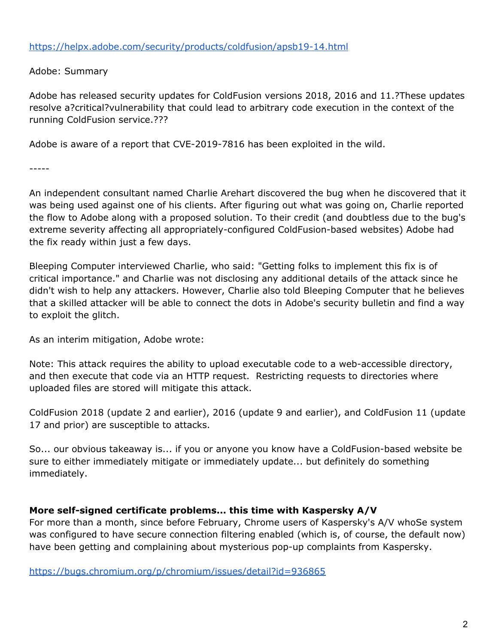#### <https://helpx.adobe.com/security/products/coldfusion/apsb19-14.html>

Adobe: Summary

Adobe has released security updates for ColdFusion versions 2018, 2016 and 11.?These updates resolve a?critical?vulnerability that could lead to arbitrary code execution in the context of the running ColdFusion service.???

Adobe is aware of a report that CVE-2019-7816 has been exploited in the wild.

-----

An independent consultant named Charlie Arehart discovered the bug when he discovered that it was being used against one of his clients. After figuring out what was going on, Charlie reported the flow to Adobe along with a proposed solution. To their credit (and doubtless due to the bug's extreme severity affecting all appropriately-configured ColdFusion-based websites) Adobe had the fix ready within just a few days.

Bleeping Computer interviewed Charlie, who said: "Getting folks to implement this fix is of critical importance." and Charlie was not disclosing any additional details of the attack since he didn't wish to help any attackers. However, Charlie also told Bleeping Computer that he believes that a skilled attacker will be able to connect the dots in Adobe's security bulletin and find a way to exploit the glitch.

As an interim mitigation, Adobe wrote:

Note: This attack requires the ability to upload executable code to a web-accessible directory, and then execute that code via an HTTP request. Restricting requests to directories where uploaded files are stored will mitigate this attack.

ColdFusion 2018 (update 2 and earlier), 2016 (update 9 and earlier), and ColdFusion 11 (update 17 and prior) are susceptible to attacks.

So... our obvious takeaway is... if you or anyone you know have a ColdFusion-based website be sure to either immediately mitigate or immediately update... but definitely do something immediately.

#### **More self-signed certificate problems... this time with Kaspersky A/V**

For more than a month, since before February, Chrome users of Kaspersky's A/V whoSe system was configured to have secure connection filtering enabled (which is, of course, the default now) have been getting and complaining about mysterious pop-up complaints from Kaspersky.

<https://bugs.chromium.org/p/chromium/issues/detail?id=936865>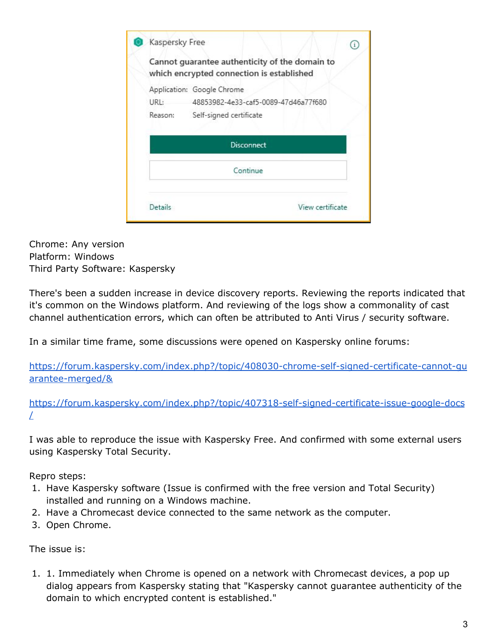|                 | Cannot guarantee authenticity of the domain to<br>which encrypted connection is established   |  |
|-----------------|-----------------------------------------------------------------------------------------------|--|
| URL:<br>Reason: | Application: Google Chrome<br>48853982-4e33-caf5-0089-47d46a77f680<br>Self-signed certificate |  |
|                 | <b>Disconnect</b>                                                                             |  |
|                 |                                                                                               |  |
|                 | Continue                                                                                      |  |

Chrome: Any version Platform: Windows Third Party Software: Kaspersky

There's been a sudden increase in device discovery reports. Reviewing the reports indicated that it's common on the Windows platform. And reviewing of the logs show a commonality of cast channel authentication errors, which can often be attributed to Anti Virus / security software.

In a similar time frame, some discussions were opened on Kaspersky online forums:

[https://forum.kaspersky.com/index.php?/topic/408030-chrome-self-signed-certificate-cannot-gu](https://forum.kaspersky.com/index.php?/topic/408030-chrome-self-signed-certificate-cannot-guarantee-merged/&) [arantee-merged/&](https://forum.kaspersky.com/index.php?/topic/408030-chrome-self-signed-certificate-cannot-guarantee-merged/&)

[https://forum.kaspersky.com/index.php?/topic/407318-self-signed-certificate-issue-google-docs](https://forum.kaspersky.com/index.php?/topic/407318-self-signed-certificate-issue-google-docs/) [/](https://forum.kaspersky.com/index.php?/topic/407318-self-signed-certificate-issue-google-docs/)

I was able to reproduce the issue with Kaspersky Free. And confirmed with some external users using Kaspersky Total Security.

Repro steps:

- 1. Have Kaspersky software (Issue is confirmed with the free version and Total Security) installed and running on a Windows machine.
- 2. Have a Chromecast device connected to the same network as the computer.
- 3. Open Chrome.

The issue is:

1. 1. Immediately when Chrome is opened on a network with Chromecast devices, a pop up dialog appears from Kaspersky stating that "Kaspersky cannot guarantee authenticity of the domain to which encrypted content is established."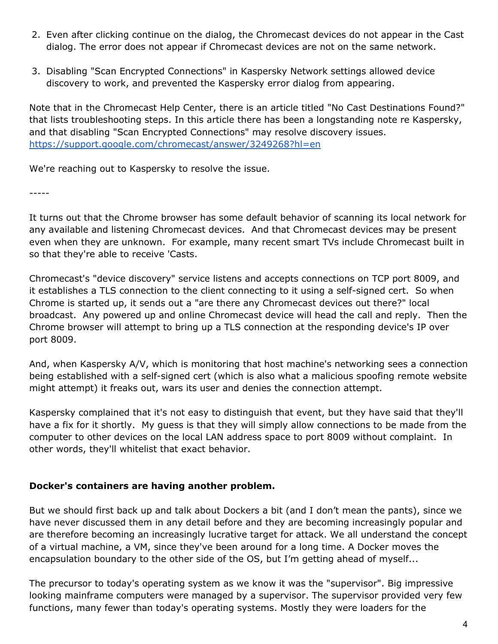- 2. Even after clicking continue on the dialog, the Chromecast devices do not appear in the Cast dialog. The error does not appear if Chromecast devices are not on the same network.
- 3. Disabling "Scan Encrypted Connections" in Kaspersky Network settings allowed device discovery to work, and prevented the Kaspersky error dialog from appearing.

Note that in the Chromecast Help Center, there is an article titled "No Cast Destinations Found?" that lists troubleshooting steps. In this article there has been a longstanding note re Kaspersky, and that disabling "Scan Encrypted Connections" may resolve discovery issues. <https://support.google.com/chromecast/answer/3249268?hl=en>

We're reaching out to Kaspersky to resolve the issue.

-----

It turns out that the Chrome browser has some default behavior of scanning its local network for any available and listening Chromecast devices. And that Chromecast devices may be present even when they are unknown. For example, many recent smart TVs include Chromecast built in so that they're able to receive 'Casts.

Chromecast's "device discovery" service listens and accepts connections on TCP port 8009, and it establishes a TLS connection to the client connecting to it using a self-signed cert. So when Chrome is started up, it sends out a "are there any Chromecast devices out there?" local broadcast. Any powered up and online Chromecast device will head the call and reply. Then the Chrome browser will attempt to bring up a TLS connection at the responding device's IP over port 8009.

And, when Kaspersky A/V, which is monitoring that host machine's networking sees a connection being established with a self-signed cert (which is also what a malicious spoofing remote website might attempt) it freaks out, wars its user and denies the connection attempt.

Kaspersky complained that it's not easy to distinguish that event, but they have said that they'll have a fix for it shortly. My guess is that they will simply allow connections to be made from the computer to other devices on the local LAN address space to port 8009 without complaint. In other words, they'll whitelist that exact behavior.

#### **Docker's containers are having another problem.**

But we should first back up and talk about Dockers a bit (and I don't mean the pants), since we have never discussed them in any detail before and they are becoming increasingly popular and are therefore becoming an increasingly lucrative target for attack. We all understand the concept of a virtual machine, a VM, since they've been around for a long time. A Docker moves the encapsulation boundary to the other side of the OS, but I'm getting ahead of myself...

The precursor to today's operating system as we know it was the "supervisor". Big impressive looking mainframe computers were managed by a supervisor. The supervisor provided very few functions, many fewer than today's operating systems. Mostly they were loaders for the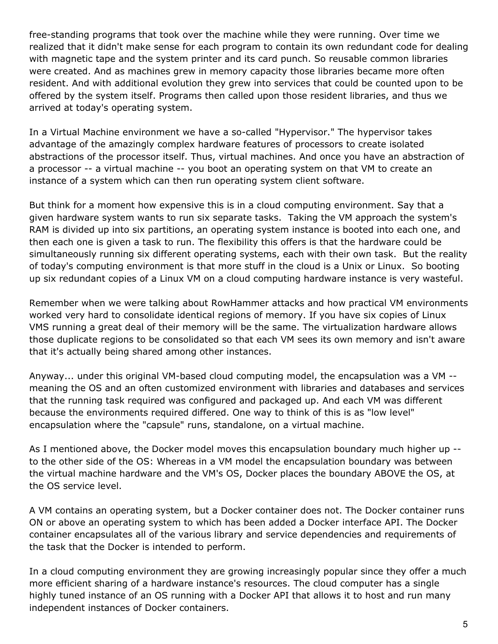free-standing programs that took over the machine while they were running. Over time we realized that it didn't make sense for each program to contain its own redundant code for dealing with magnetic tape and the system printer and its card punch. So reusable common libraries were created. And as machines grew in memory capacity those libraries became more often resident. And with additional evolution they grew into services that could be counted upon to be offered by the system itself. Programs then called upon those resident libraries, and thus we arrived at today's operating system.

In a Virtual Machine environment we have a so-called "Hypervisor." The hypervisor takes advantage of the amazingly complex hardware features of processors to create isolated abstractions of the processor itself. Thus, virtual machines. And once you have an abstraction of a processor -- a virtual machine -- you boot an operating system on that VM to create an instance of a system which can then run operating system client software.

But think for a moment how expensive this is in a cloud computing environment. Say that a given hardware system wants to run six separate tasks. Taking the VM approach the system's RAM is divided up into six partitions, an operating system instance is booted into each one, and then each one is given a task to run. The flexibility this offers is that the hardware could be simultaneously running six different operating systems, each with their own task. But the reality of today's computing environment is that more stuff in the cloud is a Unix or Linux. So booting up six redundant copies of a Linux VM on a cloud computing hardware instance is very wasteful.

Remember when we were talking about RowHammer attacks and how practical VM environments worked very hard to consolidate identical regions of memory. If you have six copies of Linux VMS running a great deal of their memory will be the same. The virtualization hardware allows those duplicate regions to be consolidated so that each VM sees its own memory and isn't aware that it's actually being shared among other instances.

Anyway... under this original VM-based cloud computing model, the encapsulation was a VM - meaning the OS and an often customized environment with libraries and databases and services that the running task required was configured and packaged up. And each VM was different because the environments required differed. One way to think of this is as "low level" encapsulation where the "capsule" runs, standalone, on a virtual machine.

As I mentioned above, the Docker model moves this encapsulation boundary much higher up - to the other side of the OS: Whereas in a VM model the encapsulation boundary was between the virtual machine hardware and the VM's OS, Docker places the boundary ABOVE the OS, at the OS service level.

A VM contains an operating system, but a Docker container does not. The Docker container runs ON or above an operating system to which has been added a Docker interface API. The Docker container encapsulates all of the various library and service dependencies and requirements of the task that the Docker is intended to perform.

In a cloud computing environment they are growing increasingly popular since they offer a much more efficient sharing of a hardware instance's resources. The cloud computer has a single highly tuned instance of an OS running with a Docker API that allows it to host and run many independent instances of Docker containers.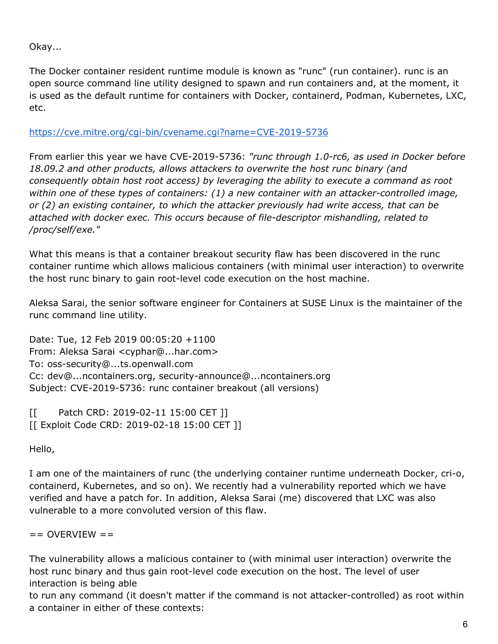Okay...

The Docker container resident runtime module is known as "runc" (run container). runc is an open source command line utility designed to spawn and run containers and, at the moment, it is used as the default runtime for containers with Docker, containerd, Podman, Kubernetes, LXC, etc.

<https://cve.mitre.org/cgi-bin/cvename.cgi?name=CVE-2019-5736>

From earlier this year we have CVE-2019-5736: *"runc through 1.0-rc6, as used in Docker before 18.09.2 and other products, allows attackers to overwrite the host runc binary (and consequently obtain host root access) by leveraging the ability to execute a command as root within one of these types of containers: (1) a new container with an attacker-controlled image, or (2) an existing container, to which the attacker previously had write access, that can be attached with docker exec. This occurs because of file-descriptor mishandling, related to /proc/self/exe."*

What this means is that a container breakout security flaw has been discovered in the runc container runtime which allows malicious containers (with minimal user interaction) to overwrite the host runc binary to gain root-level code execution on the host machine.

Aleksa Sarai, the senior software engineer for Containers at SUSE Linux is the maintainer of the runc command line utility.

Date: Tue, 12 Feb 2019 00:05:20 +1100 From: Aleksa Sarai <cyphar@...har.com> To: oss-security@...ts.openwall.com Cc: dev@...ncontainers.org, security-announce@...ncontainers.org Subject: CVE-2019-5736: runc container breakout (all versions)

[[ Patch CRD: 2019-02-11 15:00 CET ]] [[ Exploit Code CRD: 2019-02-18 15:00 CET ]]

Hello,

I am one of the maintainers of runc (the underlying container runtime underneath Docker, cri-o, containerd, Kubernetes, and so on). We recently had a vulnerability reported which we have verified and have a patch for. In addition, Aleksa Sarai (me) discovered that LXC was also vulnerable to a more convoluted version of this flaw.

 $==$  OVERVIEW  $==$ 

The vulnerability allows a malicious container to (with minimal user interaction) overwrite the host runc binary and thus gain root-level code execution on the host. The level of user interaction is being able

to run any command (it doesn't matter if the command is not attacker-controlled) as root within a container in either of these contexts: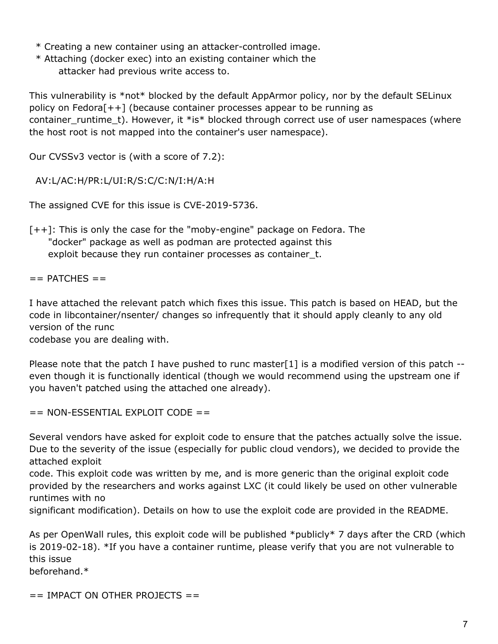- \* Creating a new container using an attacker-controlled image.
- \* Attaching (docker exec) into an existing container which the attacker had previous write access to.

This vulnerability is \*not\* blocked by the default AppArmor policy, nor by the default SELinux policy on Fedora $[++]$  (because container processes appear to be running as container\_runtime\_t). However, it \*is\* blocked through correct use of user namespaces (where the host root is not mapped into the container's user namespace).

Our CVSSv3 vector is (with a score of 7.2):

AV:L/AC:H/PR:L/UI:R/S:C/C:N/I:H/A:H

The assigned CVE for this issue is CVE-2019-5736.

[++]: This is only the case for the "moby-engine" package on Fedora. The "docker" package as well as podman are protected against this exploit because they run container processes as container\_t.

 $==$  PATCHES  $==$ 

I have attached the relevant patch which fixes this issue. This patch is based on HEAD, but the code in libcontainer/nsenter/ changes so infrequently that it should apply cleanly to any old version of the runc

codebase you are dealing with.

Please note that the patch I have pushed to runc master [1] is a modified version of this patch -even though it is functionally identical (though we would recommend using the upstream one if you haven't patched using the attached one already).

 $==$  NON-ESSENTIAL EXPLOIT CODE  $==$ 

Several vendors have asked for exploit code to ensure that the patches actually solve the issue. Due to the severity of the issue (especially for public cloud vendors), we decided to provide the attached exploit

code. This exploit code was written by me, and is more generic than the original exploit code provided by the researchers and works against LXC (it could likely be used on other vulnerable runtimes with no

significant modification). Details on how to use the exploit code are provided in the README.

As per OpenWall rules, this exploit code will be published \*publicly\* 7 days after the CRD (which is 2019-02-18). \*If you have a container runtime, please verify that you are not vulnerable to this issue

beforehand.\*

 $==$  IMPACT ON OTHER PROJECTS  $==$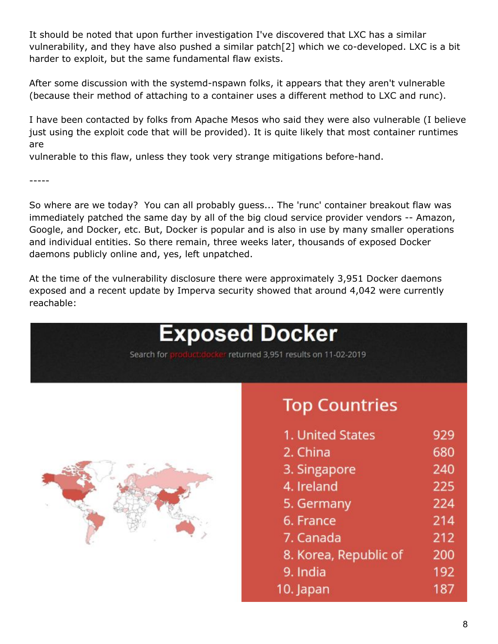It should be noted that upon further investigation I've discovered that LXC has a similar vulnerability, and they have also pushed a similar patch[2] which we co-developed. LXC is a bit harder to exploit, but the same fundamental flaw exists.

After some discussion with the systemd-nspawn folks, it appears that they aren't vulnerable (because their method of attaching to a container uses a different method to LXC and runc).

I have been contacted by folks from Apache Mesos who said they were also vulnerable (I believe just using the exploit code that will be provided). It is quite likely that most container runtimes are

vulnerable to this flaw, unless they took very strange mitigations before-hand.

-----

So where are we today? You can all probably guess... The 'runc' container breakout flaw was immediately patched the same day by all of the big cloud service provider vendors -- Amazon, Google, and Docker, etc. But, Docker is popular and is also in use by many smaller operations and individual entities. So there remain, three weeks later, thousands of exposed Docker daemons publicly online and, yes, left unpatched.

At the time of the vulnerability disclosure there were approximately 3,951 Docker daemons exposed and a recent update by Imperva security showed that around 4,042 were currently reachable:

# **Exposed Docker**

Search for product:docker returned 3,951 results on 11-02-2019



## **Top Countries**

| 1. United States      | 929 |
|-----------------------|-----|
| 2. China              | 680 |
| 3. Singapore          | 240 |
| 4. Ireland            | 225 |
| 5. Germany            | 224 |
| 6. France             | 214 |
| 7. Canada             | 212 |
| 8. Korea, Republic of | 200 |
| 9. India              | 192 |
| 0. Japan              | 187 |
|                       |     |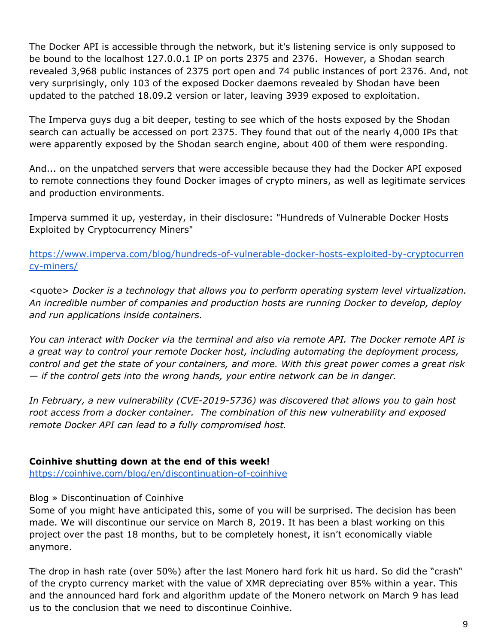The Docker API is accessible through the network, but it's listening service is only supposed to be bound to the localhost 127.0.0.1 IP on ports 2375 and 2376. However, a Shodan search revealed 3,968 public instances of 2375 port open and 74 public instances of port 2376. And, not very surprisingly, only 103 of the exposed Docker daemons revealed by Shodan have been updated to the patched 18.09.2 version or later, leaving 3939 exposed to exploitation.

The Imperva guys dug a bit deeper, testing to see which of the hosts exposed by the Shodan search can actually be accessed on port 2375. They found that out of the nearly 4,000 IPs that were apparently exposed by the Shodan search engine, about 400 of them were responding.

And... on the unpatched servers that were accessible because they had the Docker API exposed to remote connections they found Docker images of crypto miners, as well as legitimate services and production environments.

Imperva summed it up, yesterday, in their disclosure: "Hundreds of Vulnerable Docker Hosts Exploited by Cryptocurrency Miners"

[https://www.imperva.com/blog/hundreds-of-vulnerable-docker-hosts-exploited-by-cryptocurren](https://www.imperva.com/blog/hundreds-of-vulnerable-docker-hosts-exploited-by-cryptocurrency-miners/) [cy-miners/](https://www.imperva.com/blog/hundreds-of-vulnerable-docker-hosts-exploited-by-cryptocurrency-miners/)

<quote> *Docker is a technology that allows you to perform operating system level virtualization. An incredible number of companies and production hosts are running Docker to develop, deploy and run applications inside containers.*

*You can interact with Docker via the terminal and also via remote API. The Docker remote API is a great way to control your remote Docker host, including automating the deployment process, control and get the state of your containers, and more. With this great power comes a great risk — if the control gets into the wrong hands, your entire network can be in danger.*

*In February, a new vulnerability (CVE-2019-5736) was discovered that allows you to gain host root access from a docker container. The combination of this new vulnerability and exposed remote Docker API can lead to a fully compromised host.*

#### **Coinhive shutting down at the end of this week!**

<https://coinhive.com/blog/en/discontinuation-of-coinhive>

#### Blog » Discontinuation of Coinhive

Some of you might have anticipated this, some of you will be surprised. The decision has been made. We will discontinue our service on March 8, 2019. It has been a blast working on this project over the past 18 months, but to be completely honest, it isn't economically viable anymore.

The drop in hash rate (over 50%) after the last Monero hard fork hit us hard. So did the "crash" of the crypto currency market with the value of XMR depreciating over 85% within a year. This and the announced hard fork and algorithm update of the Monero network on March 9 has lead us to the conclusion that we need to discontinue Coinhive.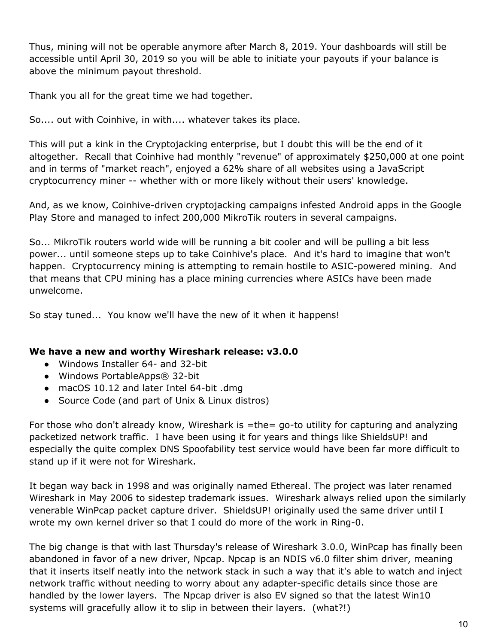Thus, mining will not be operable anymore after March 8, 2019. Your dashboards will still be accessible until April 30, 2019 so you will be able to initiate your payouts if your balance is above the minimum payout threshold.

Thank you all for the great time we had together.

So.... out with Coinhive, in with.... whatever takes its place.

This will put a kink in the Cryptojacking enterprise, but I doubt this will be the end of it altogether. Recall that Coinhive had monthly "revenue" of approximately \$250,000 at one point and in terms of "market reach", enjoyed a 62% share of all websites using a JavaScript cryptocurrency miner -- whether with or more likely without their users' knowledge.

And, as we know, Coinhive-driven cryptojacking campaigns infested Android apps in the Google Play Store and managed to infect 200,000 MikroTik routers in several campaigns.

So... MikroTik routers world wide will be running a bit cooler and will be pulling a bit less power... until someone steps up to take Coinhive's place. And it's hard to imagine that won't happen. Cryptocurrency mining is attempting to remain hostile to ASIC-powered mining. And that means that CPU mining has a place mining currencies where ASICs have been made unwelcome.

So stay tuned... You know we'll have the new of it when it happens!

#### **We have a new and worthy Wireshark release: v3.0.0**

- Windows Installer 64- and 32-bit
- Windows PortableApps® 32-bit
- macOS 10.12 and later Intel 64-bit .dmg
- Source Code (and part of Unix & Linux distros)

For those who don't already know, Wireshark is =the= go-to utility for capturing and analyzing packetized network traffic. I have been using it for years and things like ShieldsUP! and especially the quite complex DNS Spoofability test service would have been far more difficult to stand up if it were not for Wireshark.

It began way back in 1998 and was originally named Ethereal. The project was later renamed Wireshark in May 2006 to sidestep trademark issues. Wireshark always relied upon the similarly venerable WinPcap packet capture driver. ShieldsUP! originally used the same driver until I wrote my own kernel driver so that I could do more of the work in Ring-0.

The big change is that with last Thursday's release of Wireshark 3.0.0, WinPcap has finally been abandoned in favor of a new driver, Npcap. Npcap is an NDIS v6.0 filter shim driver, meaning that it inserts itself neatly into the network stack in such a way that it's able to watch and inject network traffic without needing to worry about any adapter-specific details since those are handled by the lower layers. The Npcap driver is also EV signed so that the latest Win10 systems will gracefully allow it to slip in between their layers. (what?!)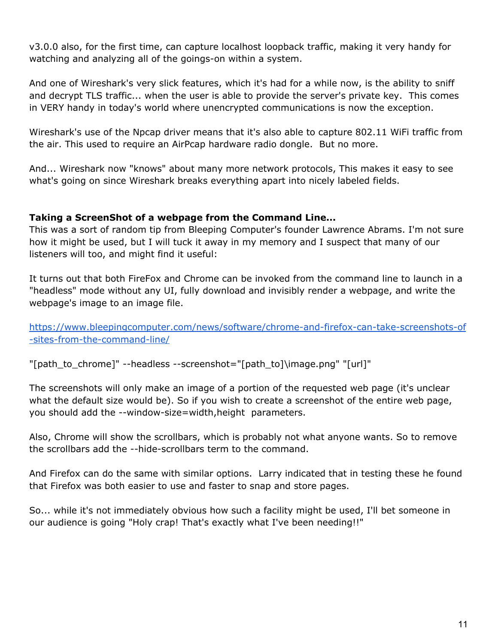v3.0.0 also, for the first time, can capture localhost loopback traffic, making it very handy for watching and analyzing all of the goings-on within a system.

And one of Wireshark's very slick features, which it's had for a while now, is the ability to sniff and decrypt TLS traffic... when the user is able to provide the server's private key. This comes in VERY handy in today's world where unencrypted communications is now the exception.

Wireshark's use of the Npcap driver means that it's also able to capture 802.11 WiFi traffic from the air. This used to require an AirPcap hardware radio dongle. But no more.

And... Wireshark now "knows" about many more network protocols, This makes it easy to see what's going on since Wireshark breaks everything apart into nicely labeled fields.

#### **Taking a ScreenShot of a webpage from the Command Line...**

This was a sort of random tip from Bleeping Computer's founder Lawrence Abrams. I'm not sure how it might be used, but I will tuck it away in my memory and I suspect that many of our listeners will too, and might find it useful:

It turns out that both FireFox and Chrome can be invoked from the command line to launch in a "headless" mode without any UI, fully download and invisibly render a webpage, and write the webpage's image to an image file.

[https://www.bleepingcomputer.com/news/software/chrome-and-firefox-can-take-screenshots-of](https://www.bleepingcomputer.com/news/software/chrome-and-firefox-can-take-screenshots-of-sites-from-the-command-line/) [-sites-from-the-command-line/](https://www.bleepingcomputer.com/news/software/chrome-and-firefox-can-take-screenshots-of-sites-from-the-command-line/)

"[path\_to\_chrome]" --headless --screenshot="[path\_to]\image.png" "[url]"

The screenshots will only make an image of a portion of the requested web page (it's unclear what the default size would be). So if you wish to create a screenshot of the entire web page, you should add the --window-size=width,height parameters.

Also, Chrome will show the scrollbars, which is probably not what anyone wants. So to remove the scrollbars add the --hide-scrollbars term to the command.

And Firefox can do the same with similar options. Larry indicated that in testing these he found that Firefox was both easier to use and faster to snap and store pages.

So... while it's not immediately obvious how such a facility might be used, I'll bet someone in our audience is going "Holy crap! That's exactly what I've been needing!!"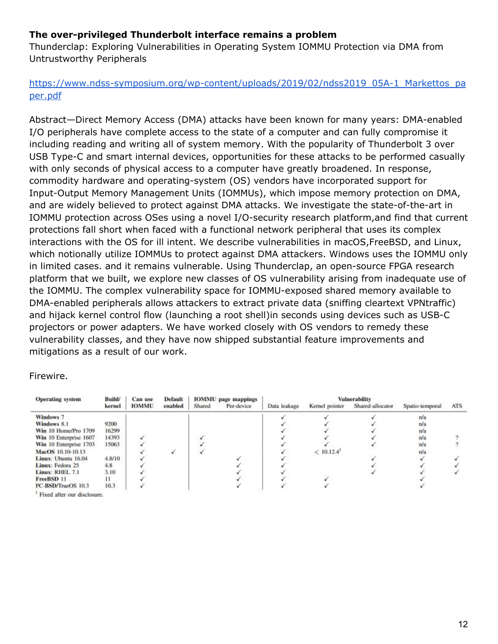#### **The over-privileged Thunderbolt interface remains a problem**

Thunderclap: Exploring Vulnerabilities in Operating System IOMMU Protection via DMA from Untrustworthy Peripherals

[https://www.ndss-symposium.org/wp-content/uploads/2019/02/ndss2019\\_05A-1\\_Markettos\\_pa](https://www.ndss-symposium.org/wp-content/uploads/2019/02/ndss2019_05A-1_Markettos_paper.pdf) [per.pdf](https://www.ndss-symposium.org/wp-content/uploads/2019/02/ndss2019_05A-1_Markettos_paper.pdf)

Abstract—Direct Memory Access (DMA) attacks have been known for many years: DMA-enabled I/O peripherals have complete access to the state of a computer and can fully compromise it including reading and writing all of system memory. With the popularity of Thunderbolt 3 over USB Type-C and smart internal devices, opportunities for these attacks to be performed casually with only seconds of physical access to a computer have greatly broadened. In response, commodity hardware and operating-system (OS) vendors have incorporated support for Input-Output Memory Management Units (IOMMUs), which impose memory protection on DMA, and are widely believed to protect against DMA attacks. We investigate the state-of-the-art in IOMMU protection across OSes using a novel I/O-security research platform,and find that current protections fall short when faced with a functional network peripheral that uses its complex interactions with the OS for ill intent. We describe vulnerabilities in macOS, FreeBSD, and Linux, which notionally utilize IOMMUs to protect against DMA attackers. Windows uses the IOMMU only in limited cases. and it remains vulnerable. Using Thunderclap, an open-source FPGA research platform that we built, we explore new classes of OS vulnerability arising from inadequate use of the IOMMU. The complex vulnerability space for IOMMU-exposed shared memory available to DMA-enabled peripherals allows attackers to extract private data (sniffing cleartext VPNtraffic) and hijack kernel control flow (launching a root shell)in seconds using devices such as USB-C projectors or power adapters. We have worked closely with OS vendors to remedy these vulnerability classes, and they have now shipped substantial feature improvements and mitigations as a result of our work.

#### Firewire.

| <b>Operating</b> system                                                                   | Build/ | Can use      | Default | <b>IOMMU</b> page mappings |            | <b>Vulnerability</b> |                |                  |                 |            |
|-------------------------------------------------------------------------------------------|--------|--------------|---------|----------------------------|------------|----------------------|----------------|------------------|-----------------|------------|
|                                                                                           | kernel | <b>IOMMU</b> | enabled | Shared                     | Per-device | Data leakage         | Kernel pointer | Shared-allocator | Spatio-temporal | <b>ATS</b> |
| Windows <sub>7</sub>                                                                      |        |              |         |                            |            |                      |                |                  | n/a             |            |
| Windows 8.1                                                                               | 9200   |              |         |                            |            |                      |                |                  | n/a             |            |
| Win 10 Home/Pro 1709                                                                      | 16299  |              |         |                            |            |                      |                |                  | n/a             |            |
| Win 10 Enterprise 1607                                                                    | 14393  |              |         |                            |            |                      |                |                  | n/a             |            |
| Win 10 Enterprise 1703                                                                    | 15063  |              |         |                            |            |                      |                |                  | n/a             |            |
| MacOS 10.10-10.13                                                                         |        |              |         |                            |            |                      | < 10.12.4      |                  | n/a             |            |
| Linux: Ubuntu 16.04                                                                       | 4.8/10 |              |         |                            |            |                      |                |                  |                 |            |
| Linux: Fedora 25                                                                          | 4.8    |              |         |                            |            |                      |                |                  |                 |            |
| Linux: RHEL 7.1                                                                           | 3.10   |              |         |                            |            |                      |                |                  |                 |            |
| FreeBSD 11                                                                                |        |              |         |                            |            |                      |                |                  |                 |            |
| PC-BSD/TrueOS 10.3                                                                        | 10.3   |              |         |                            |            |                      |                |                  |                 |            |
| the control of the control of the control of the control of the control of the control of |        |              |         |                            |            |                      |                |                  |                 |            |

Fixed after our disclosure.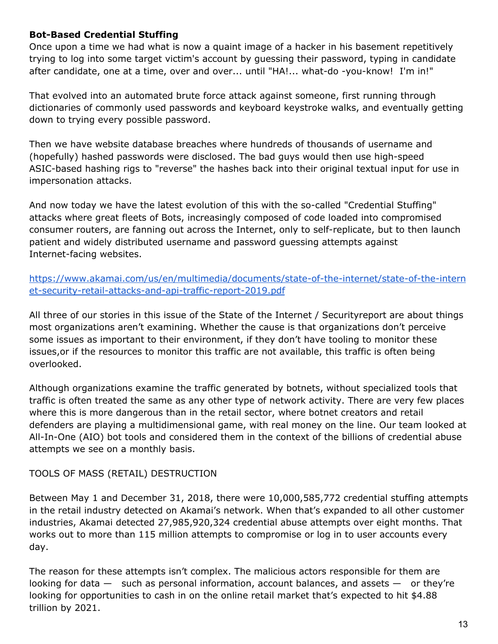#### **Bot-Based Credential Stuffing**

Once upon a time we had what is now a quaint image of a hacker in his basement repetitively trying to log into some target victim's account by guessing their password, typing in candidate after candidate, one at a time, over and over... until "HA!... what-do -you-know! I'm in!"

That evolved into an automated brute force attack against someone, first running through dictionaries of commonly used passwords and keyboard keystroke walks, and eventually getting down to trying every possible password.

Then we have website database breaches where hundreds of thousands of username and (hopefully) hashed passwords were disclosed. The bad guys would then use high-speed ASIC-based hashing rigs to "reverse" the hashes back into their original textual input for use in impersonation attacks.

And now today we have the latest evolution of this with the so-called "Credential Stuffing" attacks where great fleets of Bots, increasingly composed of code loaded into compromised consumer routers, are fanning out across the Internet, only to self-replicate, but to then launch patient and widely distributed username and password guessing attempts against Internet-facing websites.

[https://www.akamai.com/us/en/multimedia/documents/state-of-the-internet/state-of-the-intern](https://www.akamai.com/us/en/multimedia/documents/state-of-the-internet/state-of-the-internet-security-retail-attacks-and-api-traffic-report-2019.pdf) [et-security-retail-attacks-and-api-traffic-report-2019.pdf](https://www.akamai.com/us/en/multimedia/documents/state-of-the-internet/state-of-the-internet-security-retail-attacks-and-api-traffic-report-2019.pdf)

All three of our stories in this issue of the State of the Internet / Securityreport are about things most organizations aren't examining. Whether the cause is that organizations don't perceive some issues as important to their environment, if they don't have tooling to monitor these issues,or if the resources to monitor this traffic are not available, this traffic is often being overlooked.

Although organizations examine the traffic generated by botnets, without specialized tools that traffic is often treated the same as any other type of network activity. There are very few places where this is more dangerous than in the retail sector, where botnet creators and retail defenders are playing a multidimensional game, with real money on the line. Our team looked at All-In-One (AIO) bot tools and considered them in the context of the billions of credential abuse attempts we see on a monthly basis.

#### TOOLS OF MASS (RETAIL) DESTRUCTION

Between May 1 and December 31, 2018, there were 10,000,585,772 credential stuffing attempts in the retail industry detected on Akamai's network. When that's expanded to all other customer industries, Akamai detected 27,985,920,324 credential abuse attempts over eight months. That works out to more than 115 million attempts to compromise or log in to user accounts every day.

The reason for these attempts isn't complex. The malicious actors responsible for them are looking for data  $-$  such as personal information, account balances, and assets  $-$  or they're looking for opportunities to cash in on the online retail market that's expected to hit \$4.88 trillion by 2021.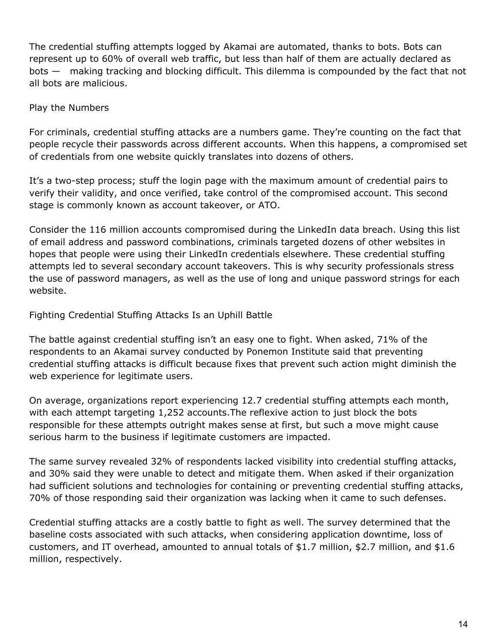The credential stuffing attempts logged by Akamai are automated, thanks to bots. Bots can represent up to 60% of overall web traffic, but less than half of them are actually declared as bots — making tracking and blocking difficult. This dilemma is compounded by the fact that not all bots are malicious.

#### Play the Numbers

For criminals, credential stuffing attacks are a numbers game. They're counting on the fact that people recycle their passwords across different accounts. When this happens, a compromised set of credentials from one website quickly translates into dozens of others.

It's a two-step process; stuff the login page with the maximum amount of credential pairs to verify their validity, and once verified, take control of the compromised account. This second stage is commonly known as account takeover, or ATO.

Consider the 116 million accounts compromised during the LinkedIn data breach. Using this list of email address and password combinations, criminals targeted dozens of other websites in hopes that people were using their LinkedIn credentials elsewhere. These credential stuffing attempts led to several secondary account takeovers. This is why security professionals stress the use of password managers, as well as the use of long and unique password strings for each website.

Fighting Credential Stuffing Attacks Is an Uphill Battle

The battle against credential stuffing isn't an easy one to fight. When asked, 71% of the respondents to an Akamai survey conducted by Ponemon Institute said that preventing credential stuffing attacks is difficult because fixes that prevent such action might diminish the web experience for legitimate users.

On average, organizations report experiencing 12.7 credential stuffing attempts each month, with each attempt targeting 1,252 accounts.The reflexive action to just block the bots responsible for these attempts outright makes sense at first, but such a move might cause serious harm to the business if legitimate customers are impacted.

The same survey revealed 32% of respondents lacked visibility into credential stuffing attacks, and 30% said they were unable to detect and mitigate them. When asked if their organization had sufficient solutions and technologies for containing or preventing credential stuffing attacks, 70% of those responding said their organization was lacking when it came to such defenses.

Credential stuffing attacks are a costly battle to fight as well. The survey determined that the baseline costs associated with such attacks, when considering application downtime, loss of customers, and IT overhead, amounted to annual totals of \$1.7 million, \$2.7 million, and \$1.6 million, respectively.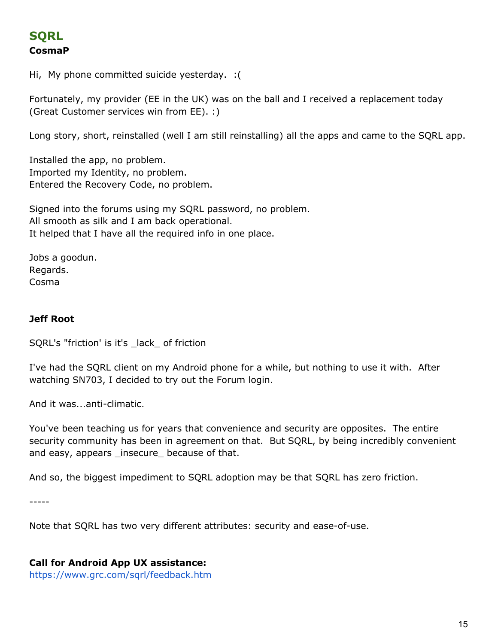## **SQRL CosmaP**

Hi, My phone committed suicide yesterday. :(

Fortunately, my provider (EE in the UK) was on the ball and I received a replacement today (Great Customer services win from EE). :)

Long story, short, reinstalled (well I am still reinstalling) all the apps and came to the SQRL app.

Installed the app, no problem. Imported my Identity, no problem. Entered the Recovery Code, no problem.

Signed into the forums using my SQRL password, no problem. All smooth as silk and I am back operational. It helped that I have all the required info in one place.

Jobs a goodun. Regards. Cosma

#### **Jeff Root**

SQRL's "friction' is it's \_lack\_ of friction

I've had the SQRL client on my Android phone for a while, but nothing to use it with. After watching SN703, I decided to try out the Forum login.

And it was...anti-climatic.

You've been teaching us for years that convenience and security are opposites. The entire security community has been in agreement on that. But SQRL, by being incredibly convenient and easy, appears \_insecure\_ because of that.

And so, the biggest impediment to SQRL adoption may be that SQRL has zero friction.

-----

Note that SQRL has two very different attributes: security and ease-of-use.

**Call for Android App UX assistance:** <https://www.grc.com/sqrl/feedback.htm>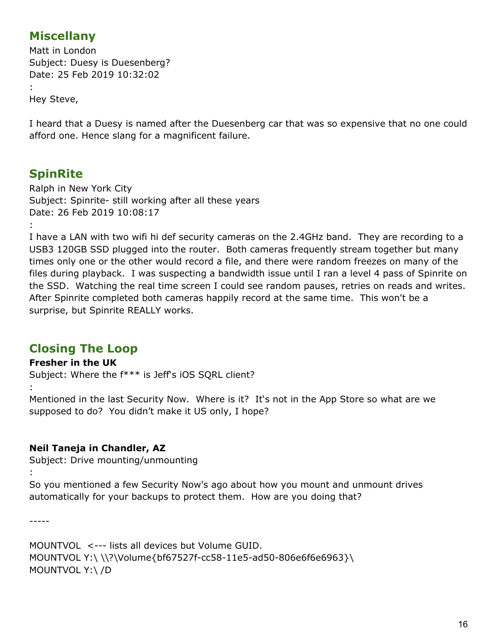## **Miscellany**

Matt in London Subject: Duesy is Duesenberg? Date: 25 Feb 2019 10:32:02 : Hey Steve,

I heard that a Duesy is named after the Duesenberg car that was so expensive that no one could afford one. Hence slang for a magnificent failure.

## **SpinRite**

```
Ralph in New York City
Subject: Spinrite- still working after all these years
Date: 26 Feb 2019 10:08:17
:
```
I have a LAN with two wifi hi def security cameras on the 2.4GHz band. They are recording to a USB3 120GB SSD plugged into the router. Both cameras frequently stream together but many times only one or the other would record a file, and there were random freezes on many of the files during playback. I was suspecting a bandwidth issue until I ran a level 4 pass of Spinrite on the SSD. Watching the real time screen I could see random pauses, retries on reads and writes. After Spinrite completed both cameras happily record at the same time. This won't be a surprise, but Spinrite REALLY works.

## **Closing The Loop**

## **Fresher in the UK**

Subject: Where the  $f***$  is Jeff's iOS SQRL client?

:

Mentioned in the last Security Now. Where is it? It's not in the App Store so what are we supposed to do? You didn't make it US only, I hope?

#### **Neil Taneja in Chandler, AZ**

Subject: Drive mounting/unmounting

:

So you mentioned a few Security Now's ago about how you mount and unmount drives automatically for your backups to protect them. How are you doing that?

-----

MOUNTVOL <--- lists all devices but Volume GUID. MOUNTVOL Y:\ \\?\Volume{bf67527f-cc58-11e5-ad50-806e6f6e6963}\ MOUNTVOL Y:\ /D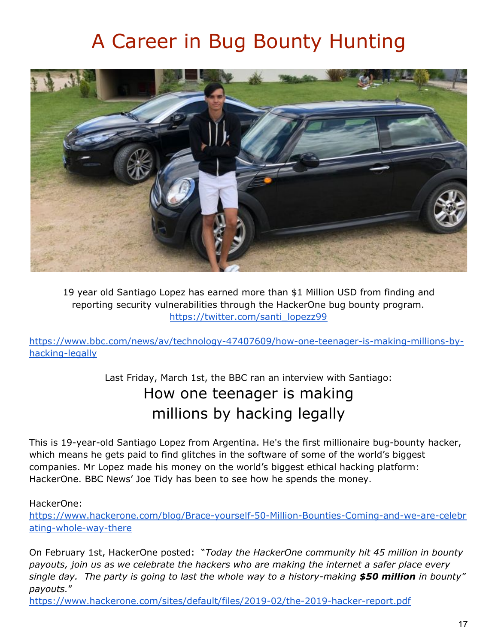# A Career in Bug Bounty Hunting



19 year old Santiago Lopez has earned more than \$1 Million USD from finding and reporting security vulnerabilities through the HackerOne bug bounty program. [https://twitter.com/santi\\_lopezz99](https://twitter.com/santi_lopezz99)

[https://www.bbc.com/news/av/technology-47407609/how-one-teenager-is-making-millions-by](https://www.bbc.com/news/av/technology-47407609/how-one-teenager-is-making-millions-by-hacking-legally)[hacking-legally](https://www.bbc.com/news/av/technology-47407609/how-one-teenager-is-making-millions-by-hacking-legally)

Last Friday, March 1st, the BBC ran an interview with Santiago:

## How one teenager is making millions by hacking legally

This is 19-year-old Santiago Lopez from Argentina. He's the first millionaire bug-bounty hacker, which means he gets paid to find glitches in the software of some of the world's biggest companies. Mr Lopez made his money on the world's biggest ethical hacking platform: HackerOne. BBC News' Joe Tidy has been to see how he spends the money.

HackerOne:

[https://www.hackerone.com/blog/Brace-yourself-50-Million-Bounties-Coming-and-we-are-celebr](https://www.hackerone.com/blog/Brace-yourself-50-Million-Bounties-Coming-and-we-are-celebrating-whole-way-there) [ating-whole-way-there](https://www.hackerone.com/blog/Brace-yourself-50-Million-Bounties-Coming-and-we-are-celebrating-whole-way-there)

On February 1st, HackerOne posted: "*Today the HackerOne community hit 45 million in bounty payouts, join us as we celebrate the hackers who are making the internet a safer place every single day. The party is going to last the whole way to a history-making \$50 million in bounty" payouts.*"

<https://www.hackerone.com/sites/default/files/2019-02/the-2019-hacker-report.pdf>